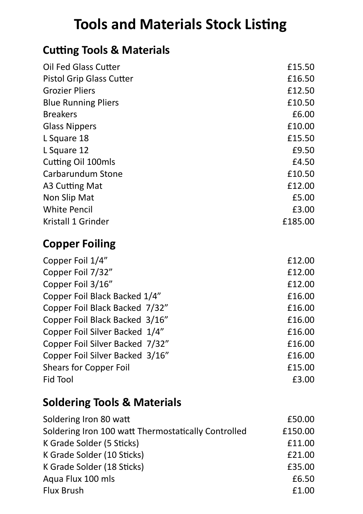### **Tools and Materials Stock Listing**

#### **Cutting Tools & Materials**

| <b>Oil Fed Glass Cutter</b>     | £15.50  |
|---------------------------------|---------|
| <b>Pistol Grip Glass Cutter</b> | £16.50  |
| <b>Grozier Pliers</b>           | £12.50  |
| <b>Blue Running Pliers</b>      | £10.50  |
| <b>Breakers</b>                 | £6.00   |
| <b>Glass Nippers</b>            | £10.00  |
| L Square 18                     | £15.50  |
| L Square 12                     | £9.50   |
| Cutting Oil 100mls              | £4.50   |
| Carbarundum Stone               | £10.50  |
| A3 Cutting Mat                  | £12.00  |
| Non Slip Mat                    | £5.00   |
| <b>White Pencil</b>             | £3.00   |
| Kristall 1 Grinder              | £185.00 |
| <b>Copper Foiling</b>           |         |
| Copper Foil 1/4"                | £12.00  |
| Copper Foil 7/32"               | £12.00  |
| Copper Foil 3/16"               | £12.00  |
| Copper Foil Black Backed 1/4"   | £16.00  |
| Copper Foil Black Backed 7/32"  | £16.00  |
| Copper Foil Black Backed 3/16"  | £16.00  |
| Copper Foil Silver Backed 1/4"  | £16.00  |

| Copper Foil Silver Backed 7/32" | £16.00 |
|---------------------------------|--------|
| Copper Foil Silver Backed 3/16" | £16.00 |
| <b>Shears for Copper Foil</b>   | £15.00 |
| Fid Tool                        | £3.00  |

#### **Soldering Tools & Materials**

| Soldering Iron 80 watt                              | £50.00  |
|-----------------------------------------------------|---------|
| Soldering Iron 100 watt Thermostatically Controlled | £150.00 |
| K Grade Solder (5 Sticks)                           | £11.00  |
| K Grade Solder (10 Sticks)                          | £21.00  |
| K Grade Solder (18 Sticks)                          | £35.00  |
| Aqua Flux 100 mls                                   | £6.50   |
| <b>Flux Brush</b>                                   | £1.00   |
|                                                     |         |